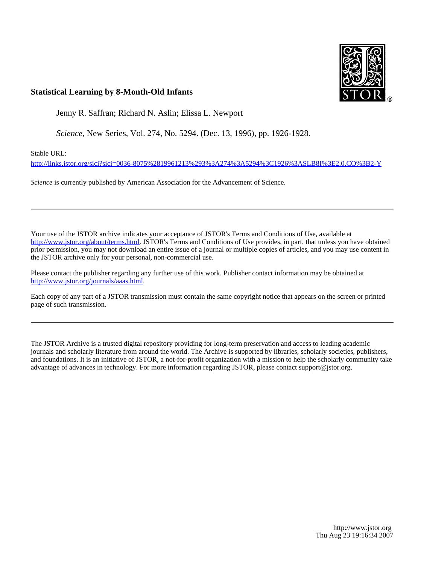

## **Statistical Learning by 8-Month-Old Infants**

Jenny R. Saffran; Richard N. Aslin; Elissa L. Newport

*Science*, New Series, Vol. 274, No. 5294. (Dec. 13, 1996), pp. 1926-1928.

Stable URL:

<http://links.jstor.org/sici?sici=0036-8075%2819961213%293%3A274%3A5294%3C1926%3ASLB8I%3E2.0.CO%3B2-Y>

*Science* is currently published by American Association for the Advancement of Science.

Your use of the JSTOR archive indicates your acceptance of JSTOR's Terms and Conditions of Use, available at [http://www.jstor.org/about/terms.html.](http://www.jstor.org/about/terms.html) JSTOR's Terms and Conditions of Use provides, in part, that unless you have obtained prior permission, you may not download an entire issue of a journal or multiple copies of articles, and you may use content in the JSTOR archive only for your personal, non-commercial use.

Please contact the publisher regarding any further use of this work. Publisher contact information may be obtained at [http://www.jstor.org/journals/aaas.html.](http://www.jstor.org/journals/aaas.html)

Each copy of any part of a JSTOR transmission must contain the same copyright notice that appears on the screen or printed page of such transmission.

The JSTOR Archive is a trusted digital repository providing for long-term preservation and access to leading academic journals and scholarly literature from around the world. The Archive is supported by libraries, scholarly societies, publishers, and foundations. It is an initiative of JSTOR, a not-for-profit organization with a mission to help the scholarly community take advantage of advances in technology. For more information regarding JSTOR, please contact support@jstor.org.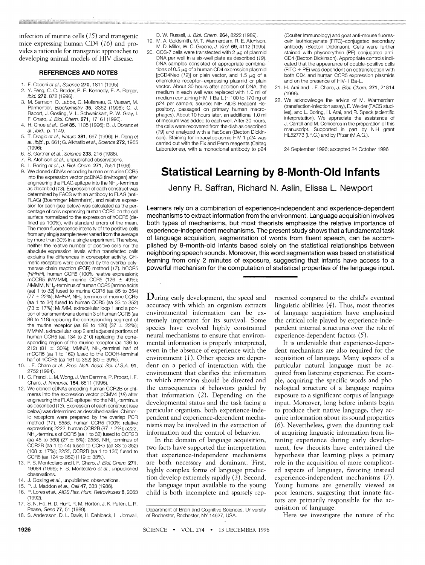infection of murine cells  $(15)$  and transgenic mice expressing human CD4 (16) and provides a rationale for transgenic approaches to developing animal models of HIV disease.

### **REFERENCES AND NOTES**

- 1. F. Cocchi et *al.*, *Science* **270**, 1811 (1995).<br>2. Y. Feng. C. C. Broder. P. E. Kennedy. E. A
- 2. Y. Feng, C. C. Broder, P. E. Kennedy, E. A. Berger, ibid. **272,** 872 (1996).
- 3. M. Samson, 0.Labbe, C. Mollereau,G. Vassart, M. Parmentier, Biochemistry 35, 3362 (1996); C. J. Raport, J. Gosling, V. L. Schweickart, P. W. Gray, I. F. Charo, J. 6/01, Chem. **271,** 17161 (1996).
- 4. H. Choe et al., Cell 85, 1135 (1996); B. J. Doranz et al., ibid., p. 1149.
- 5. T. Dragic eta/.,Nature **381,** 667 (1996); H. Deng et a/.,ib@, p. 661;G.Akhatibetal.,Science **272,** 1955  $(1996)$
- 6. S. Gartner eta/.,Science **233,** 215 (1986).
- 7. R. Atchison et al., unpublished observations.
- 8. L. Boring et a/.,J. Bioi. Chem. **271,** 7551 (1996). We cloned cDNAs encoding human or murine CCR5 into the expression vector pcDNA3 (Invitrogen) after engineering the FLAG epitope into the NH<sub>2</sub>-terminus as described (13). Expression of each construct was determined by FACS with an antibody to FLAG (anti-FLAG) (Boehringer Mannheim), and relative expression for each (see below) was calculated as the percentage of cells expressing human CCR5 on the cell surface normalized to the expression of hCCR5 (defined as 100%), with standard errors of the mean. The mean fluorescence intensity of the positive cells from any single sample never varied from the average by more than 30% in a single experiment. Therefore, neither the relative number of positive cells nor the absolute expression levels within transfected cells explains the differences in coreceptor activity. Chimeric receptors were prepared by the overlap polymerase chain reaction (PCR) method (17). hCCR5 (HHHH), human CCR5 (100% relative expression); mCCR5 (MMMM), murine CCR5 (126 ± 49%); HMMM, NH<sub>o</sub>-terminus of human CCR5 [amino acids (aa) 1 to  $32\overline{)}$  fused to murine CCR5 (aa 35 to 354) (77  $\pm$  22%); MHHH, NH<sub>2</sub>-terminus of murine CCR5 (aa 1 to 34) fused to human CCR5 (aa 33 to 352) (73  $\pm$  17%); MHMM, extracellular loop 1 and a portion of transmembrane domain 3 of human CCR5 (aa 86 to 118) replacing the corresponding segment of the murine receptor (aa 88 to 120) (37  $\pm$  22%); MMHM, extracellular loop 2 and adjacent porions of human CCR5 (aa 134 to 210) replacing the corresponding region of the murine receptor (aa 136 to 212) (81  $\pm$  30%); MMHH, NH<sub>2</sub>-terminal half of mCCR5 (aa 1 to 162) fused to the COOH-termnal half of hCCR5 (aa 161 to 352) (80  $\pm$  39%)
- 10. I. F. Charo et a/., Proc. Nati. Acad. Sci. U.S.A. **91,**  2752 (1994).
- C. Franci, L. M. Wong, J. Van Damme, P. Proost, I. F. Charo, J. /mmuno/. **154,** 6511 (1995).
- 12. We cloned cDNAs encoding human CCR2B or chimeras into the expression vector pCMV4 (18) after engineering the FLAG epitope into the NH<sub>o</sub>-terminus as described (13). Expression of each construct (see below) was determined as described earlier. Chimeric receptors were prepared by the overlap PCR method (17). 5555, human CCR5 (100% relative expression); 2222, human CCR2B (87  $\pm$  2%); 5222 NH<sub>2</sub>-terminus of CCR5 (aa 1 to 32) fused to CCR2B (aa 45 to 360) (27  $\pm$  5%); 2555, NH<sub>2</sub>-terminus of CCR2B (aa 1 to 44) fused to CCR5 (aa 33 to 352) (108 ± 17%); 2255, CCR2B (aa 1 to 136) fused to CCR5 (aa 124 to 352) (119  $\pm$  33%)
- 13. F. S. Monteclaro and I. F. Charo, J. Biol. Chem. **271,**  19084 (1996); F. S. Monteclaro et al., unpublished observations.
- 14. J. Gosling et al., unpublished observations
- 15. P. J. Maddon eta/., Cell **47,** 333 (1986).
- 16. P. Lores et al., AIDS Res. Hum. Retroviruses 8, 2063 (1992).
- 17. S. N. Ho, H. D. Hunt, R. M. Horton, J. K. Pulen, L. R. Pease, Gene **77,** 51 (I989).
- 18. S. Andersson, D. L. Davis, H. Dahlback, H. Jornval,
- D. W. Russell,J. Biol. Chem. **264,** 8222 (1989). 19. M. A. Godsmth, M. T. Warmerdam, R. E. Atchison,
- M. D. Miller, W. C. Greene,J. Virol. **69,** 4112 (1995). 20. COS-7 cells were transfected with 2  $\mu$ g of plasmid DNA per well in a six-well plate as described (19). DNA samples consisted of appropriate combinations of  $0.5 \mu$ g of a human CD4 expression plasmid [pCD4Neo (19)] or plain vector, and 1.5  $\mu$ g of a chemokine receptor-expressing plasmid or plain vector. About 30 hours after addition of DNA, the medium in each well was replaced with 1.0 ml of medium containing HIV-1 Ba-L ( $\sim$  100 to 170 ng of p24 per sample; source: NH ADS Reagent Repository, passaged on primary human macrophages). About 10 hours later, an additional 1.0 ml of medium was added to each well. After 30 hours, the cells were recovered from the dish as described (19) and analyzed with a FacScan (Becton Dickinson). Staining for intracytoplasmic HIV-1 p24 was carried out with the Fix and Perm reagents (Caltag Laboratories), with a monoclonal antibody to p24 24 September 1996; accepted 24 October 1996

(Coulter Immunology) and goat anti-mouse fluorescein isothiocyanate (FITC)-conjugated secondary antibody (Becton Dickinson). Cells were further stained with phycoerythrin (PE)-conjugated anti-CD4 (Becton Dickinson). Appropriate controls indicated that the appearance of double-positve cells (FTC + PE) was dependent on cotransfection with both CD4 and human CCR5 expression plasmids and on the presence of HIV-I Ba-L.

- 21. H. Arai and I. F. Charo, J. 6/01, Chem. **271,** 21814 (1996).
- 22. We acknowledge the advice of M. Warmerdam (transfection-infection assay), E. Weider (FACS studies), and L. Boring, H. Arai, and R. Speck (scientific interpretation). We appreciate the assistance of J. Carroll and M. Ceniceros in the preparation of this manuscript. Supported in part by NIH grant HL52773 (I.F.C.) and by Pfizer (M.A.G.).

# **Statistical Learning by 8-Month-Old Infants**

Jenny R. Saffran, Richard N. Aslin, Elissa L. Newport

Learners rely on a combination of experience-independent and experience-dependent mechanisms to extract information from the environment. Language acquisition involves both types of mechanisms, but most theorists emphasize the relative importance of experience-independent mechanisms. The present study shows that a fundamental task of language acquisition, segmentation of words from fluent speech, can be accomplished by 8-month-old infants based solely on the statistical relationships between neighboring speech sounds. Moreover, this word segmentation was based on statistical learning from only 2 minutes of exposure, suggesting that infants have access to a powerful mechanism for the computation of statistical properties of the language input.

During early development, the speed and accuracy with which an organism extracts environmental information can be extremely important for its survival. Some species have evolved highly constrained neural mechanisms to ensure that environmental information is properly interpreted, even in the absence of experience with the environment (1). Other species are dependent on a period of interaction with the environment that clarifies the information to which attention should be directed and the consequences of behaviors guided by that information (2). Depending on the developmental status and the task facing a particular organism, both experience-independent and experience-dependent mechanisms may be involved in the extraction of information and the control of behavior.

In the domain of language acquisition, two facts have supported the interpretation that experience-independent mechanisms are both necessary and dominant. First, highly complex forms of language production develop extremely rapidly (3). Second, the language input available to the young child is both incomplete and sparsely represented compared to the child's eventual linguistic abilities (4). Thus, most theories of language acquisition have emphasized the critical role played by experience-independent internal structures over the role of experience-dependent factors (5).

It is undeniable that experience-dependent mechanisms are also required for the acquisition of language. Many aspects of a particular natural language must be acquired from listening experience. For example, acquiring the specific words and phonological structure of a language requires exposure to a significant corpus of language input. Moreover, long before infants begin to produce their native language, they acquire information about its sound properties (6). Nevertheless, given the daunting task of acquiring linguistic information from listening experience during early development, few theorists have entertained the hypothesis that learning plays a primary role in the acquisition of more complicated aspects of language, favoring instead experience-independent mechanisms (7). Young humans are generally viewed as poor learners, suggesting that innate factors are primarily responsible for the acquisition of language.

Here we investigate the nature of the

Department of Brain and Cognitive Sciences, University of Rochester, Rochester, NY 14627, USA.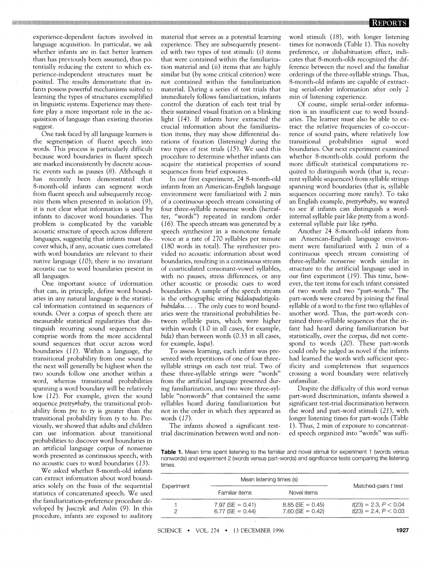experience-dependent factors involved in language acquisition. In particular, we ask whether infants are in fact better learners than has previously been assumed, thus potentially reducing the extent to which ex perience-independent structures must be posited. The results demonstrate that infants possess powerful mechanisms suited to learning the types of structures exemplified in linguistic systems. Experience may therefore play a more important role in the acquisition of language than existing theories suggest.

One task faced by all language learners is the segmentation of fluent speech into words. This process is particularly difficult because word boundaries in fluent speech are marked inconsistently by discrete acoustic events such as pauses (8). Although it has recently been demonstrated that 8-month-old infants can segment words - from fluent speech and subsequently recognize them when presented in isolation (9), it is not clear what information is used by infants to discover word boundaries. This problem is complicated by the variable acoustic structure of speech across different languages, suggesting that infants must discover which, if any, acoustic cues correlated with word boundaries are relevant to their native language (10); there is no invariant acoustic cue to word boundaries present in all languages.

One important source of information that can, in principle, define word boundaries in any natural language is the statistical information contained in sequences of sounds. Over a corpus of speech there are measurable statistical regularities that distinguish recurring sound sequences that comprise words from the more accidental sound sequences that occur across word boundaries (11). Within a language, the transitional probability from one sound to the next will generally be highest when the two sounds follow one another within a word, whereas transitional probabilities spanning a word boundary will be relatively low (12). For example, given the sound sequence pretty#baby, the transitional probability from *pre* to  $ty$  is greater than the transitional probability from ty to ba. Previously, we showed that adults and children can use information about transitional probabilities to discover word boundaries in an artificial language corpus of nonsense words presented as continuous speech, with no acoustic cues to word boundaries (13).

We asked whether 8-month-old infants can extract information about word boundaries solely on the basis of the sequential statistics of concatenated speech. We used the famillarization-preference procedure developed by Jusczyk and Aslin (9). In this procedure, infants are exposed to auditory

material that serves as a potential learning experience. They are subsequently presented with two types of test stimuli: (i) items that were contained within the familiarization material and (ii) items that are highly similar but (by some critical criterion) were not contained within the familiarization material. During a series of test trials that immediately follows familiarization, infants control the duration of each test trial by their sustained visual fixation on a blinking light (14). If infants have extracted the crucial information about the familiarization items, they may show differential durations of fixation (listening) during the two types of test trials (15). We used this procedure to determine whether infants can acquire the statistical properties of sound sequences from brief exposures.

In our first experiment, 24 8-month-old infants from an American-English language environment were familiarized with 2 min of a continuous speech stream consisting of four three-syllable nonsense words (hereafter, "words") repeated in random order  $(16)$ . The speech stream was generated by a speech synthesizer in a monotone fernale voice at a rate of 270 syllables per minute (180 words in total). The synthesizer provided no acoustic information about word boundaries, resulting in a continuous stream of coarticulated consonant-vowel syllables, with no pauses, stress differences, or any other acoustic or prosodic cues to word boundaries. A sample of the speech stream is the orthographic string bidakupadotigolabubidaku. . . . The only cues to word boundaries were the transitional probabilities begularities that dis- tween syllable pairs, which were higher tained three-syllable sequences that the inwithin words (1.0 in all cases, for example, bida) than between words (0.33 in all cases, for example, kupa).

> To assess learning, each infant was presented with repetitions of one of four threesvllable strings on each test trial. Two of these three-syllable strings were "words" from the artificial language presented during familiarization, and two were three-syllable "nonwords" that contained the same syllables heard during familiarization but not in the order in which they appeared as words (17).

The infants showed a significant testtrial discrimination between word and nonword stimuli (18), with longer listening times for nonwords (Table 1). This noveltv preference, or dishabituation effect, indicates that 8-month-olds recognized the difference between the novel and the familiar orderings of the three-syllable strings. Thus, 8-month-old infants are capable of extracting serial-order information after only 2 min of listening experience.

Of course, simple serial-order information is an insufficient cue to word boundaries. The learner must also be able to extract the relative frequencies of co-occurrence of sound pairs, where relatively low transitional probabilities signal word boundaries. Our next experiment examined whether 8-month-olds could perform the more difficult statistical computations required to distinguish words (that is, recurrent syllable sequences) from syllable strings spanning word boundaries (that is, syllable sequences occurring more rarely). To take an English example, pretty#baby, we wanted to see if infants can distinguish a wordinternal syllable pair like pretty from a wordexternal syllable pair like ty#ba.

Another 24 8-month-old infants from an American-English language environment were familiarized with 2 min of a continuous speech stream consisting of three-syllable nonsense words similar in structure to the artificial language used in our first experiment (19). This time, however, the test items for each infant consisted of two words and two "part-words." The part-words were created by joining the final svllable of a word to the first two svllables of another word. Thus, the part-words confant had heard during familiarization but statistically, over the corpus, did not correspond to words (20). These part-words could only be judged as novel if the infants had learned the words with sufficient specificity and completeness that sequences crossing a word boundary were relatively unfamiliar.

Despite the difficulty of this word versus part-word discrimination, infants showed a significant test-trial discrimination between the word and part-word stimuli (21), with longer listening times for part-words (Table 1). Thus, 2 min of exposure to concatenated speech organized into "words" was suffi-

Table 1. Mean time spent listening to the familiar and novel stimuli for experiment 1 (words versus nonwords) and experiment 2 (words versus part-words) and significance tests comparing the listening times.

| Experiment | Mean listening times (s)                 |                                          |                                                    |
|------------|------------------------------------------|------------------------------------------|----------------------------------------------------|
|            | Familiar items                           | Novel items                              | Matched-pairs t test                               |
|            | $7.97$ (SE = 0.41)<br>$6.77$ (SE = 0.44) | $8.85$ (SE = 0.45)<br>$7.60$ (SE = 0.42) | $t(23) = 2.3, P < 0.04$<br>$t(23) = 2.4, P < 0.03$ |